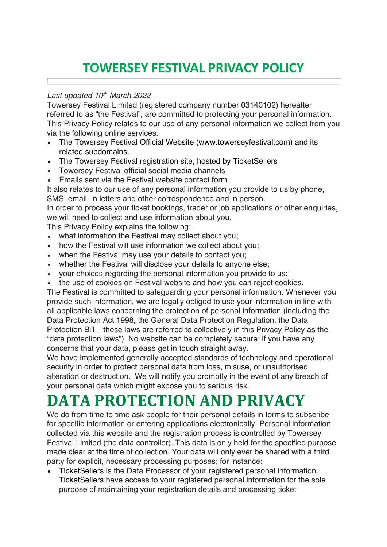#### **TOWERSEY FESTIVAL PRIVACY POLICY**

#### *Last updated 10th March 2022*

Towersey Festival Limited (registered company number 03140102) hereafter referred to as "the Festival", are committed to protecting your personal information. This Privacy Policy relates to our use of any personal information we collect from you via the following online services:

- The Towersey Festival Official Website (www.towerseyfestival.com) and its related subdomains.
- The Towersey Festival registration site, hosted by TicketSellers
- Towersey Festival official social media channels
- Emails sent via the Festival website contact form

It also relates to our use of any personal information you provide to us by phone, SMS, email, in letters and other correspondence and in person.

In order to process your ticket bookings, trader or job applications or other enquiries, we will need to collect and use information about you.

This Privacy Policy explains the following:

- what information the Festival may collect about you;
- how the Festival will use information we collect about you:
- when the Festival may use your details to contact you;
- whether the Festival will disclose your details to anyone else;
- your choices regarding the personal information you provide to us;
- the use of cookies on Festival website and how you can reject cookies.

The Festival is committed to safeguarding your personal information. Whenever you provide such information, we are legally obliged to use your information in line with all applicable laws concerning the protection of personal information (including the Data Protection Act 1998, the General Data Protection Regulation, the Data Protection Bill – these laws are referred to collectively in this Privacy Policy as the "data protection laws"). No website can be completely secure; if you have any concerns that your data, please get in touch straight away.

We have implemented generally accepted standards of technology and operational security in order to protect personal data from loss, misuse, or unauthorised alteration or destruction. We will notify you promptly in the event of any breach of your personal data which might expose you to serious risk.

## **DATA PROTECTION AND PRIVACY**

We do from time to time ask people for their personal details in forms to subscribe for specific information or entering applications electronically. Personal information collected via this website and the registration process is controlled by Towersey Festival Limited (the data controller). This data is only held for the specified purpose made clear at the time of collection. Your data will only ever be shared with a third party for explicit, necessary processing purposes; for instance:

• TicketSellers is the Data Processor of your registered personal information. TicketSellers have access to your registered personal information for the sole purpose of maintaining your registration details and processing ticket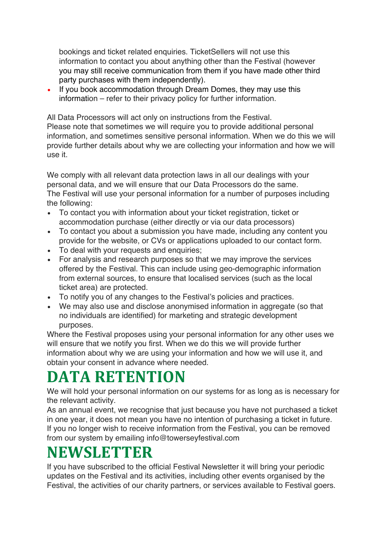bookings and ticket related enquiries. TicketSellers will not use this information to contact you about anything other than the Festival (however you may still receive communication from them if you have made other third party purchases with them independently).

• If you book accommodation through Dream Domes, they may use this information – refer to their privacy policy for further information.

All Data Processors will act only on instructions from the Festival.

Please note that sometimes we will require you to provide additional personal information, and sometimes sensitive personal information. When we do this we will provide further details about why we are collecting your information and how we will use it.

We comply with all relevant data protection laws in all our dealings with your personal data, and we will ensure that our Data Processors do the same. The Festival will use your personal information for a number of purposes including the following:

- To contact you with information about your ticket registration, ticket or accommodation purchase (either directly or via our data processors)
- To contact you about a submission you have made, including any content you provide for the website, or CVs or applications uploaded to our contact form.
- To deal with your requests and enquiries;
- For analysis and research purposes so that we may improve the services offered by the Festival. This can include using geo-demographic information from external sources, to ensure that localised services (such as the local ticket area) are protected.
- To notify you of any changes to the Festival's policies and practices.
- We may also use and disclose anonymised information in aggregate (so that no individuals are identified) for marketing and strategic development purposes.

Where the Festival proposes using your personal information for any other uses we will ensure that we notify you first. When we do this we will provide further information about why we are using your information and how we will use it, and obtain your consent in advance where needed.

## **DATA RETENTION**

We will hold your personal information on our systems for as long as is necessary for the relevant activity.

As an annual event, we recognise that just because you have not purchased a ticket in one year, it does not mean you have no intention of purchasing a ticket in future. If you no longer wish to receive information from the Festival, you can be removed from our system by emailing info@towerseyfestival.com

### **NEWSLETTER**

If you have subscribed to the official Festival Newsletter it will bring your periodic updates on the Festival and its activities, including other events organised by the Festival, the activities of our charity partners, or services available to Festival goers.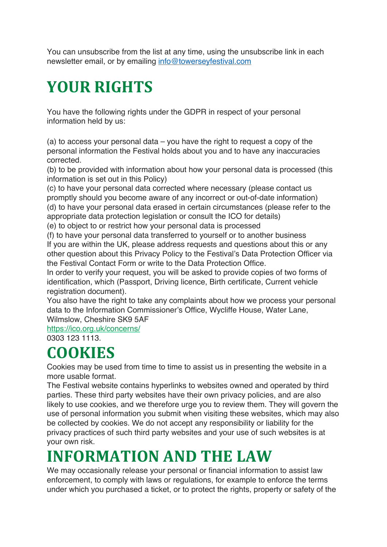You can unsubscribe from the list at any time, using the unsubscribe link in each newsletter email, or by emailing info@towerseyfestival.com

# **YOUR RIGHTS**

You have the following rights under the GDPR in respect of your personal information held by us:

(a) to access your personal data – you have the right to request a copy of the personal information the Festival holds about you and to have any inaccuracies corrected.

(b) to be provided with information about how your personal data is processed (this information is set out in this Policy)

(c) to have your personal data corrected where necessary (please contact us promptly should you become aware of any incorrect or out-of-date information) (d) to have your personal data erased in certain circumstances (please refer to the appropriate data protection legislation or consult the ICO for details)

(e) to object to or restrict how your personal data is processed

(f) to have your personal data transferred to yourself or to another business If you are within the UK, please address requests and questions about this or any other question about this Privacy Policy to the Festival's Data Protection Officer via the Festival Contact Form or write to the Data Protection Office.

In order to verify your request, you will be asked to provide copies of two forms of identification, which (Passport, Driving licence, Birth certificate, Current vehicle registration document).

You also have the right to take any complaints about how we process your personal data to the Information Commissioner's Office, Wycliffe House, Water Lane, Wilmslow, Cheshire SK9 5AF

https://ico.org.uk/concerns/

0303 123 1113.

## **COOKIES**

Cookies may be used from time to time to assist us in presenting the website in a more usable format.

The Festival website contains hyperlinks to websites owned and operated by third parties. These third party websites have their own privacy policies, and are also likely to use cookies, and we therefore urge you to review them. They will govern the use of personal information you submit when visiting these websites, which may also be collected by cookies. We do not accept any responsibility or liability for the privacy practices of such third party websites and your use of such websites is at your own risk.

## **INFORMATION AND THE LAW**

We may occasionally release your personal or financial information to assist law enforcement, to comply with laws or regulations, for example to enforce the terms under which you purchased a ticket, or to protect the rights, property or safety of the